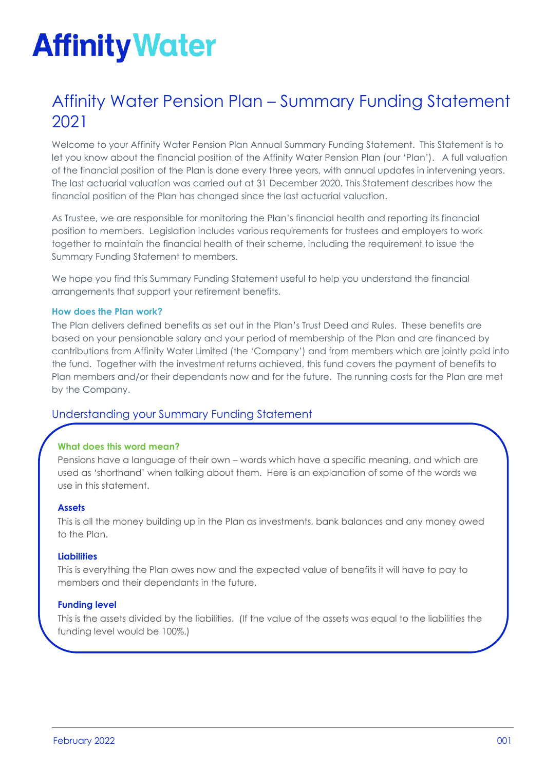# **Affinity Water**

## Affinity Water Pension Plan – Summary Funding Statement 2021

Welcome to your Affinity Water Pension Plan Annual Summary Funding Statement. This Statement is to let you know about the financial position of the Affinity Water Pension Plan (our 'Plan'). A full valuation of the financial position of the Plan is done every three years, with annual updates in intervening years. The last actuarial valuation was carried out at 31 December 2020. This Statement describes how the financial position of the Plan has changed since the last actuarial valuation.

As Trustee, we are responsible for monitoring the Plan's financial health and reporting its financial position to members. Legislation includes various requirements for trustees and employers to work together to maintain the financial health of their scheme, including the requirement to issue the Summary Funding Statement to members.

We hope you find this Summary Funding Statement useful to help you understand the financial arrangements that support your retirement benefits.

## **How does the Plan work?**

The Plan delivers defined benefits as set out in the Plan's Trust Deed and Rules. These benefits are based on your pensionable salary and your period of membership of the Plan and are financed by contributions from Affinity Water Limited (the 'Company') and from members which are jointly paid into the fund. Together with the investment returns achieved, this fund covers the payment of benefits to Plan members and/or their dependants now and for the future. The running costs for the Plan are met by the Company.

## Understanding your Summary Funding Statement

## **What does this word mean?**

Pensions have a language of their own – words which have a specific meaning, and which are used as 'shorthand' when talking about them. Here is an explanation of some of the words we use in this statement.

### **Assets**

This is all the money building up in the Plan as investments, bank balances and any money owed to the Plan.

### **Liabilities**

**Shortfall**

This is everything the Plan owes now and the expected value of benefits it will have to pay to members and their dependants in the future.

#### **Funding level**

This is the assets divided by the liabilities. (If the value of the assets was equal to the liabilities the funding level would be 100%.)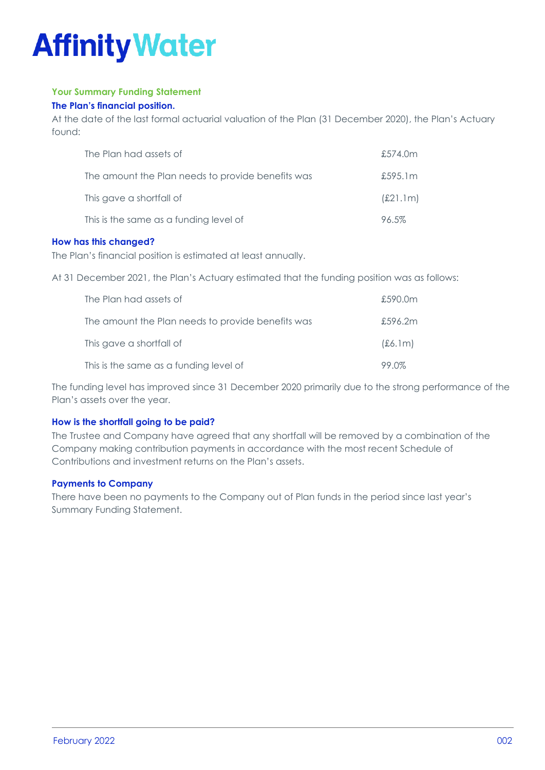## **Affinity Water**

## **Your Summary Funding Statement**

## **The Plan's financial position.**

At the date of the last formal actuarial valuation of the Plan (31 December 2020), the Plan's Actuary found:

| The Plan had assets of                            | £574.0m  |
|---------------------------------------------------|----------|
| The amount the Plan needs to provide benefits was | £595.1m  |
| This gave a shortfall of                          | (E21.1m) |
| This is the same as a funding level of            | 96.5%    |

## **How has this changed?**

The Plan's financial position is estimated at least annually.

At 31 December 2021, the Plan's Actuary estimated that the funding position was as follows:

| The Plan had assets of                            | £590.0m |
|---------------------------------------------------|---------|
| The amount the Plan needs to provide benefits was | £596.2m |
| This gave a shortfall of                          | (£6.1m) |
| This is the same as a funding level of            | 99.0%   |

The funding level has improved since 31 December 2020 primarily due to the strong performance of the Plan's assets over the year.

## **How is the shortfall going to be paid?**

The Trustee and Company have agreed that any shortfall will be removed by a combination of the Company making contribution payments in accordance with the most recent Schedule of Contributions and investment returns on the Plan's assets.

## **Payments to Company**

There have been no payments to the Company out of Plan funds in the period since last year's Summary Funding Statement.